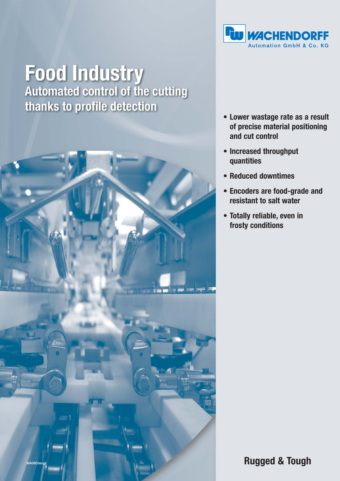

# **Food Industry**<br>Automated control of the cutting thanks to profile detection



- **Lower wastage rate as a result of precise material positioning and cut control**
- **Increased throughput quantities**
- **Reduced downtimes**
- **Encoders are food-grade and resistant to salt water**
- **Totally reliable, even in frosty conditions**

**Rugged & Tough**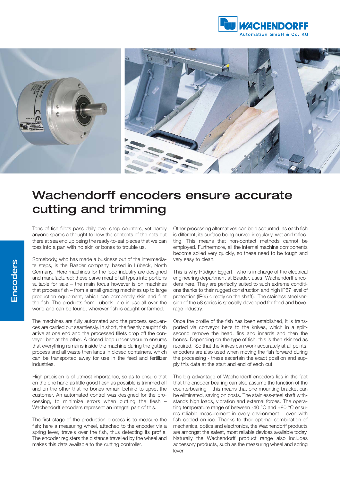



## Wachendorff encoders ensure accurate cutting and trimming

Tons of fish fillets pass daily over shop counters, yet hardly anyone spares a thought to how the contents of the nets out there at sea end up being the ready-to-eat pieces that we can toss into a pan with no skin or bones to trouble us.

Somebody, who has made a business out of the intermediate steps, is the Baader company, based in Lübeck, North Germany. Here machines for the food industry are designed and manufactured; these carve meat of all types into portions suitable for sale – the main focus however is on machines that process fish – from a small grading machines up to large production equipment, which can completely skin and fillet the fish. The products from Lübeck are in use all over the world and can be found, wherever fish is caught or farmed.

The machines are fully automated and the process sequences are carried out seamlessly. In short, the freshly caught fish arrive at one end and the processed fillets drop off the conveyor belt at the other. A closed loop under vacuum ensures that everything remains inside the machine during the gutting process and all waste then lands in closed containers, which can be transported away for use in the feed and fertilizer industries.

High precision is of utmost importance, so as to ensure that on the one hand as little good flesh as possible is trimmed off and on the other that no bones remain behind to upset the customer. An automated control was designed for the processing, to minimize errors when cutting the flesh – Wachendorff encoders represent an integral part of this.

The first stage of the production process is to measure the fish; here a measuring wheel, attached to the encoder via a spring lever, travels over the fish, thus detecting its profile. The encoder registers the distance travelled by the wheel and makes this data available to the cutting controller.

Other processing alternatives can be discounted, as each fish is different, its surface being curved irregularly, wet and reflecting. This means that non-contact methods cannot be employed. Furthermore, all the internal machine components become soiled very quickly, so these need to be tough and very easy to clean.

This is why Rüdiger Eggert, who is in charge of the electrical engineering department at Baader, uses Wachendorff encoders here. They are perfectly suited to such extreme conditions thanks to their rugged construction and high IP67 level of protection (IP65 directly on the shaft). The stainless steel version of the 58 series is specially developed for food and beverage industry.

Once the profile of the fish has been established, it is transported via convevor belts to the knives, which in a splitsecond remove the head, fins and innards and then the bones. Depending on the type of fish, this is then skinned as required. So that the knives can work accurately at all points, encoders are also used when moving the fish forward during the processing - these ascertain the exact position and supply this data at the start and end of each cut.

The big advantage of Wachendorff encoders lies in the fact that the encoder bearing can also assume the function of the counterbearing – this means that one mounting bracket can be eliminated, saving on costs. The stainless-steel shaft withstands high loads, vibration and external forces. The operating temperature range of between -40 °C and +80 °C ensures reliable measurement in every environment – even with fish cooled on ice. Thanks to their optimal combination of mechanics, optics and electronics, the Wachendorff products are amongst the safest, most reliable devices available today. Naturally the Wachendorff product range also includes accessory products, such as the measuring wheel and spring lever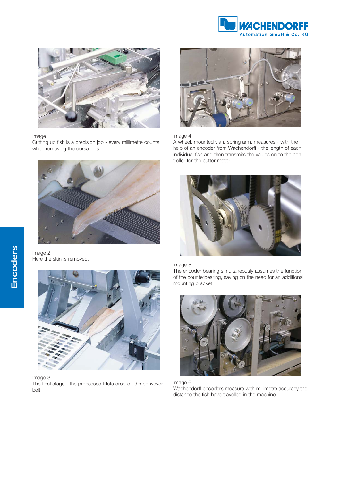



#### Image 1

Cutting up fish is a precision job - every millimetre counts when removing the dorsal fins.







### Image 4

A wheel, mounted via a spring arm, measures - with the help of an encoder from Wachendorff - the length of each individual fish and then transmits the values on to the controller for the cutter motor.



#### Image 5

The encoder bearing simultaneously assumes the function of the counterbearing, saving on the need for an additional mounting bracket.







Image 3

The final stage - the processed fillets drop off the conveyor belt.